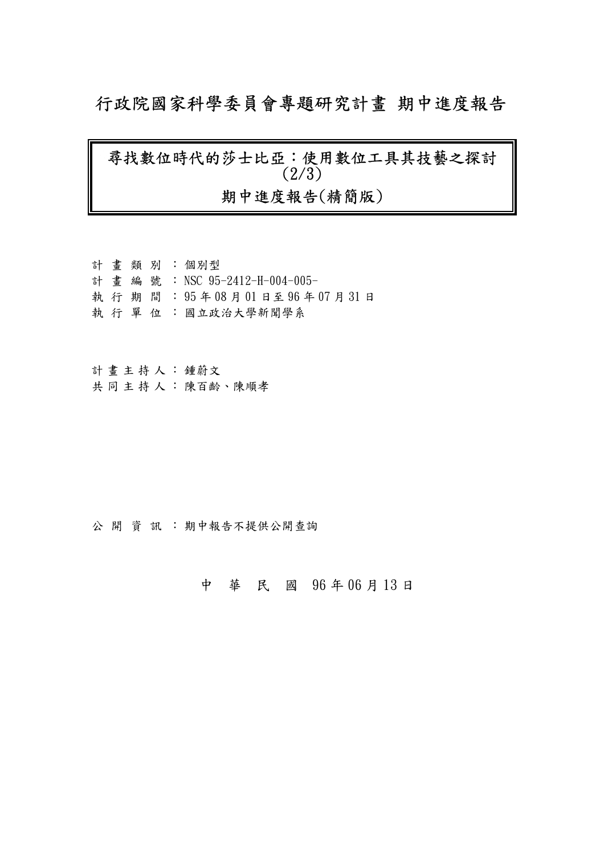## 行政院國家科學委員會專題研究計畫 期中進度報告

# 尋找數位時代的莎士比亞︰使用數位工具其技藝之探討 (2/3) 期中進度報告(精簡版)

計 畫 類 別 : 個別型 計畫編號: NSC 95-2412-H-004-005- 執 行 期 間 : 95 年 08 月 01 日至 96 年 07 月 31 日 執 行 單 位 :國立政治大學新聞學系

計畫主持人: 鍾蔚文 共同主持人: 陳百齡、陳順孝

公開 資訊: 期中報告不提供公開查詢

中 華 民 國 96 年 06 月 13 日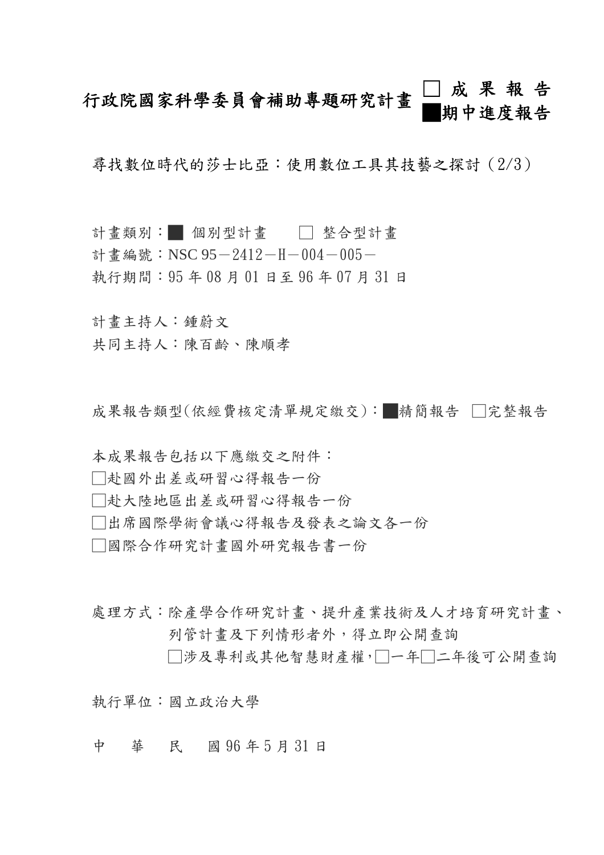## 行政院國家科學委員會補助專題研究計畫 □成果報告 █期中進度報告

尋找數位時代的莎士比亞:使用數位工具其技藝之探討(2/3)

- 計畫類別:■ 個別型計畫 □ 整合型計畫
- 計書編號: NSC 95-2412-H-004-005-
- 執行期間:95 年 08 月 01 日至 96 年 07 月 31 日

計畫主持人:鍾蔚文

共同主持人:陳百齡、陳順孝

成果報告類型(依經費核定清單規定繳交):█精簡報告 □完整報告

- 本成果報告包括以下應繳交之附件:
- □赴國外出差或研習心得報告一份
- □赴大陸地區出差或研習心得報告一份
- □出席國際學術會議心得報告及發表之論文各一份
- □國際合作研究計畫國外研究報告書一份

處理方式:除產學合作研究計畫、提升產業技術及人才培育研究計畫、 列管計畫及下列情形者外,得立即公開查詢

□涉及專利或其他智慧財產權,□一年□二年後可公開查詢

執行單位:國立政治大學

中 華 民 國 96 年 5 月 31 日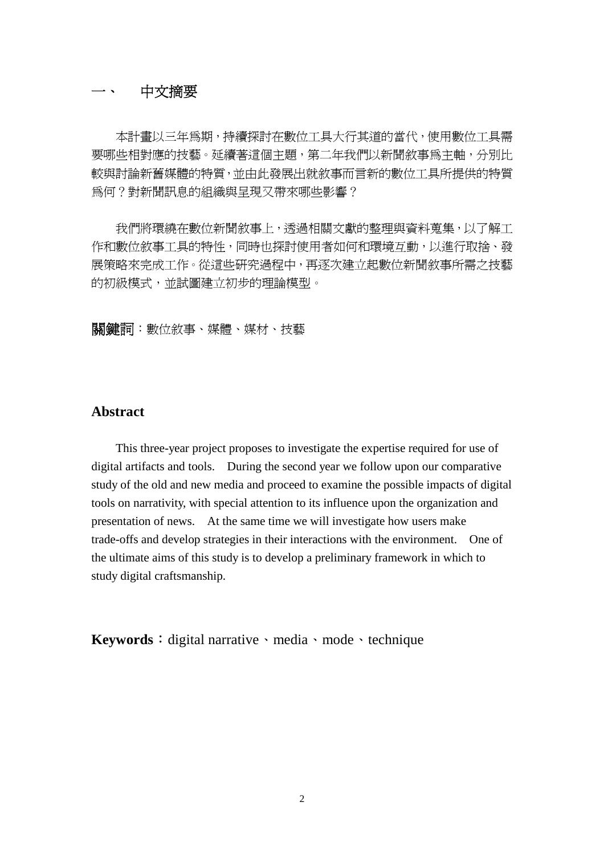#### 一、 中文摘要

本計畫以三年為期,持續探討在數位工具大行其道的當代,使用數位工具需 要哪些相對應的技藝。延續著這個主題,第二年我們以新聞敘事為主軸,分別比 較與討論新舊媒體的特質,並由此發展出就敘事而言新的數位工具所提供的特質 為何?對新聞訊息的組織與呈現又帶來哪些影響?

我們將環繞在數位新聞敘事上,透過相關文獻的整理與資料蒐集,以了解工 作和數位敘事工具的特性,同時也探討使用者如何和環境互動,以進行取捨、發 展策略來完成工作。從這些研究過程中,再逐次建立起數位新聞敘事所需之技藝 的初級模式,並試圖建立初步的理論模型。

關鍵詞:數位敘事、媒體、媒材、技藝

#### **Abstract**

This three-year project proposes to investigate the expertise required for use of digital artifacts and tools. During the second year we follow upon our comparative study of the old and new media and proceed to examine the possible impacts of digital tools on narrativity, with special attention to its influence upon the organization and presentation of news. At the same time we will investigate how users make trade-offs and develop strategies in their interactions with the environment. One of the ultimate aims of this study is to develop a preliminary framework in which to study digital craftsmanship.

Keywords: digital narrative、media、mode、technique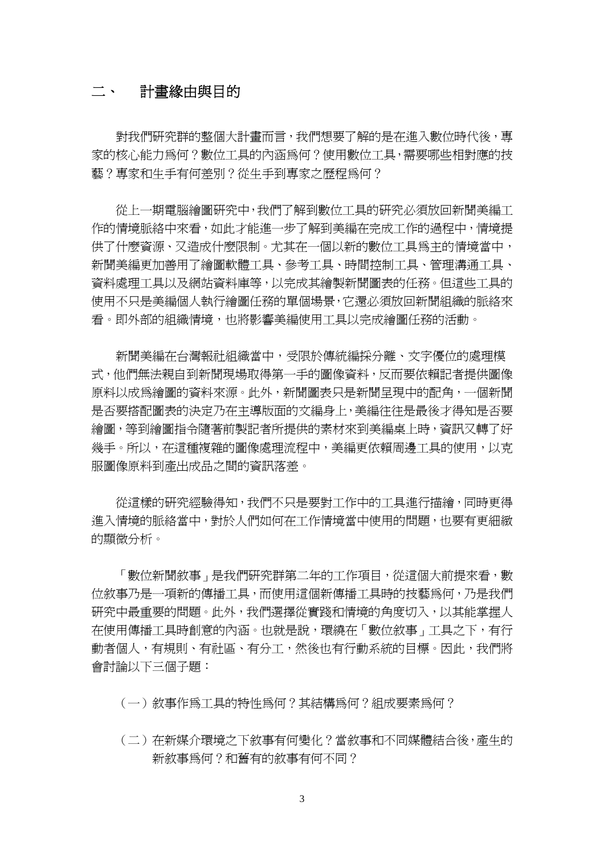### 二、 計畫緣由與目的

對我們研究群的整個大計畫而言,我們想要了解的是在進入數位時代後,專 家的核心能力為何?數位工具的內涵為何?使用數位工具,需要哪些相對應的技 藝?專家和生手有何差別?從生手到專家之歷程為何?

從上一期電腦繪圖研究中,我們了解到數位工具的研究必須放回新聞美編工 作的情境脈絡中來看,如此才能進一步了解到美編在完成工作的過程中,情境提 供了什麼資源、又造成什麼限制。尤其在一個以新的數位工具為主的情境當中, 新聞美編更加善用了繪圖軟體工具、參考工具、時間控制工具、管理溝通工具、 資料處理工具以及網站資料庫等,以完成其繪製新聞圖表的任務。但這些工具的 使用不只是美編個人執行繪圖任務的單個場景,它還必須放回新聞組織的脈絡來 看。即外部的組織情境,也將影響美編使用工具以完成繪圖任務的活動。

新聞美編在台灣報社組織當中,受限於傳統編採分離、文字優位的處理模 式,他們無法親自到新聞現場取得第一手的圖像資料,反而要依賴記者提供圖像 原料以成為繪圖的資料來源。此外,新聞圖表只是新聞呈現中的配角,一個新聞 是否要搭配圖表的決定乃在主導版面的文編身上,美編往往是最後才得知是否要 繪圖,等到繪圖指令隨著前製記者所提供的素材來到美編桌上時,資訊又轉了好 幾手。所以,在這種複雜的圖像處理流程中,美編更依賴周邊工具的使用,以克 服圖像原料到產出成品之間的資訊落差。

從這樣的研究經驗得知,我們不只是要對工作中的工具進行描繪,同時更得 進入情境的脈絡當中,對於人們如何在工作情境當中使用的問題,也要有更細緻 的顯微分析。

「數位新聞敘事」是我們研究群第二年的工作項目,從這個大前提來看,數 位敘事乃是一項新的傳播工具,而使用這個新傳播工具時的技藝為何,乃是我們 研究中最重要的問題。此外,我們選擇從實踐和情境的角度切入,以其能掌握人 在使用傳播工具時創意的內涵。也就是說,環繞在「數位敘事」工具之下,有行 動者個人,有規則、有社區、有分工,然後也有行動系統的目標。因此,我們將 會討論以下三個子題:

(一)敘事作為工具的特性為何?其結構為何?組成要素為何?

(二)在新媒介環境之下敘事有何變化?當敘事和不同媒體結合後,產生的 新敘事為何?和舊有的敘事有何不同?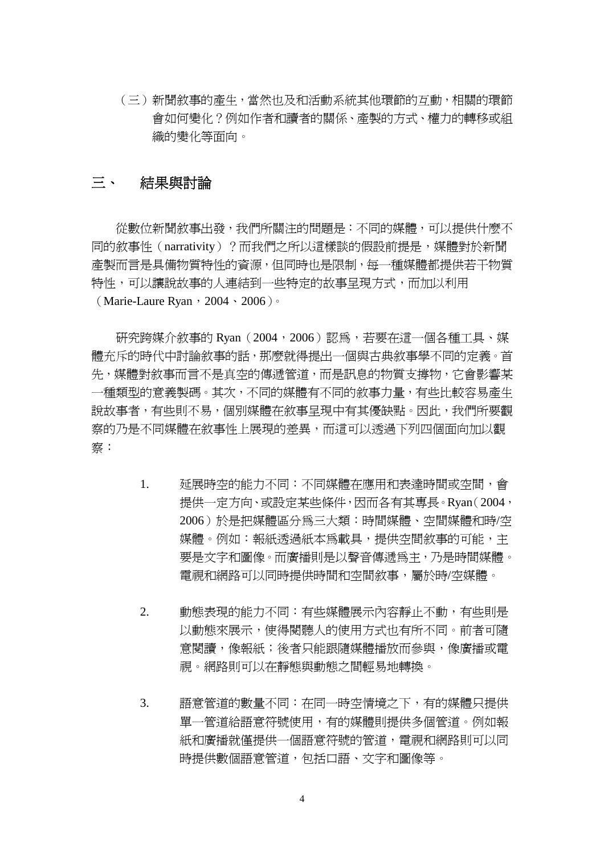(三)新聞敘事的產生,當然也及和活動系統其他環節的互動,相關的環節 會如何變化?例如作者和讀者的關係、產製的方式、權力的轉移或組 織的變化等面向。

#### 三、 結果與討論

從數位新聞敘事出發,我們所關注的問題是:不同的媒體,可以提供什麼不 同的敘事性(narrativity)?而我們之所以這樣談的假設前提是,媒體對於新聞 產製而言是具備物質特性的資源,但同時也是限制,每一種媒體都提供若干物質 特性,可以讓說故事的人連結到一些特定的故事呈現方式,而加以利用 (Marie-Laure Ryan,  $2004 \cdot 2006$ )

研究跨媒介敘事的 Ryan (2004, 2006)認為,若要在這一個各種工具、媒 體充斥的時代中討論敘事的話,那麼就得提出一個與古典敘事學不同的定義。首 先,媒體對敘事而言不是真空的傳遞管道,而是訊息的物質支撐物,它會影響某 一種類型的意義製碼。其次,不同的媒體有不同的敘事力量,有些比較容易產生 說故事者,有些則不易,個別媒體在敘事呈現中有其優缺點。因此,我們所要觀 察的乃是不同媒體在敘事性上展現的差異,而這可以透過下列四個面向加以觀 察:

- 1. 延展時空的能力不同:不同媒體在應用和表達時間或空間,會 提供一定方向、或設定某些條件,因而各有其專長。Ryan(2004, 2006)於是把媒體區分為三大類:時間媒體、空間媒體和時/空 媒體。例如:報紙透過紙本為載具,提供空間敘事的可能,主 要是文字和圖像。而廣播則是以聲音傳遞為主,乃是時間媒體。 電視和網路可以同時提供時間和空間敘事,屬於時/空媒體。
- 2. 動態表現的能力不同:有些媒體展示內容靜止不動,有些則是 以動態來展示,使得閱聽人的使用方式也有所不同。前者可隨 意閱讀,像報紙;後者只能跟隨媒體播放而參與,像廣播或電 視。網路則可以在靜態與動態之間輕易地轉換。
- 3. 語意管道的數量不同: 在同一時空情境之下, 有的媒體只提供 單一管道給語意符號使用,有的媒體則提供多個管道。例如報 紙和廣播就僅提供一個語意符號的管道,電視和網路則可以同 時提供數個語意管道,包括口語、文字和圖像等。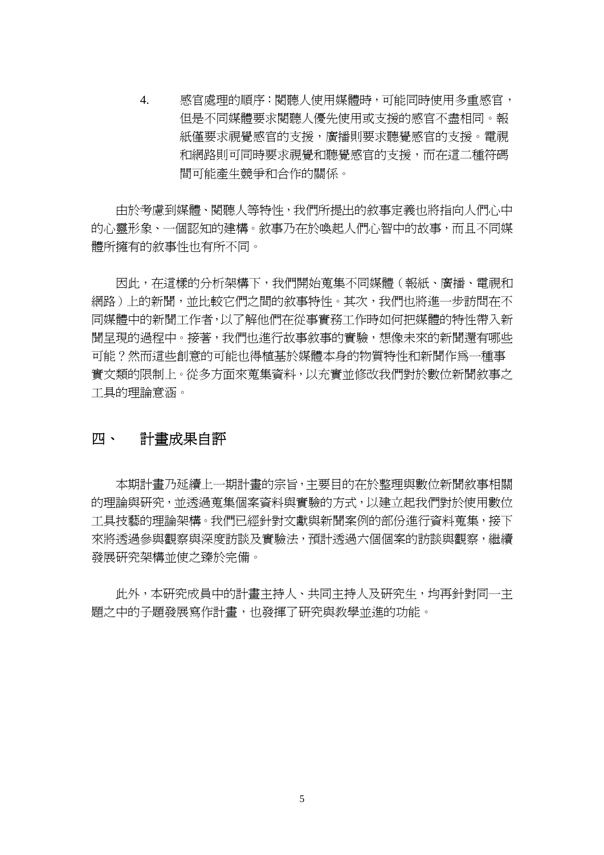4. 感官處理的順序:閱聽人使用媒體時,可能同時使用多重感官, 但是不同媒體要求閱聽人優先使用或支援的感官不盡相同。報 紙僅要求視覺感官的支援。電視 和網路則可同時要求視覺和聽覺感官的支援,而在這二種符碼 間可能產生競爭和合作的關係。

由於考慮到媒體、閱聽人等特性,我們所提出的敘事定義也將指向人們心中 的心靈形象、一個認知的建構。敘事乃在於喚起人們心智中的故事,而且不同媒 體所擁有的敘事性也有所不同。

因此,在這樣的分析架構下,我們開始蒐集不同媒體(報紙、廣播、電視和 網路)上的新聞,並比較它們之間的敘事特性。其次,我們也將進一步訪問在不 同媒體中的新聞工作者,以了解他們在從事實務工作時如何把媒體的特性帶入新 聞呈現的過程中。接著,我們也進行故事敘事的實驗,想像未來的新聞還有哪些 可能?然而這些創意的可能也得植基於媒體本身的物質特性和新聞作為一種事 實文類的限制上。從多方面來蒐集資料,以充實並修改我們對於數位新聞敘事之 工具的理論意涵。

### 四、 計畫成果自評

本期計畫乃延續上一期計畫的宗旨,主要目的在於整理與數位新聞敘事相關 的理論與研究,並透過蒐集個案資料與實驗的方式,以建立起我們對於使用數位 工具技藝的理論架構。我們已經針對文獻與新聞案例的部份進行資料蒐集,接下 來將透過參與觀察與深度訪談及實驗法,預計透過六個個案的訪談與觀察,繼續 發展研究架構並使之臻於完備。

此外,本研究成員中的計畫主持人、共同主持人及研究生,均再針對同一主 題之中的子題發展寫作計畫,也發揮了研究與教學並進的功能。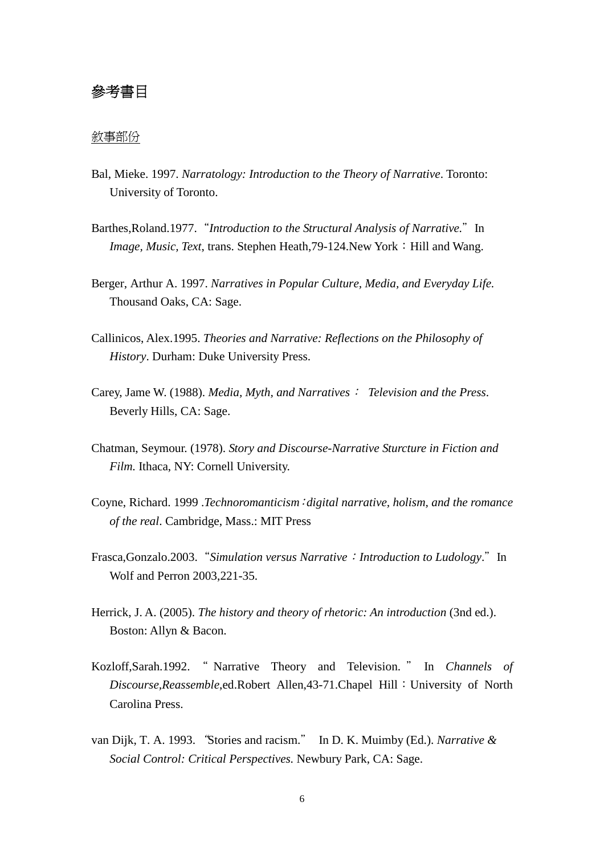### 參考書目

#### 敘事部份

- Bal, Mieke. 1997. *Narratology: Introduction to the Theory of Narrative*. Toronto: University of Toronto.
- Barthes,Roland.1977. "*Introduction to the Structural Analysis of Narrative.*" In *Image, Music, Text, trans. Stephen Heath, 79-124.New York: Hill and Wang.*
- Berger, Arthur A. 1997. *Narratives in Popular Culture, Media, and Everyday Life.* Thousand Oaks, CA: Sage.
- Callinicos, Alex.1995. *Theories and Narrative: Reflections on the Philosophy of History*. Durham: Duke University Press.
- Carey, Jame W. (1988). *Media, Myth, and Narratives*: *Television and the Press*. Beverly Hills, CA: Sage.
- Chatman, Seymour. (1978). *Story and Discourse-Narrative Sturcture in Fiction and Film.* Ithaca, NY: Cornell University.
- Coyne, Richard. 1999 .*Technoromanticism*:*digital narrative, holism, and the romance of the real*. Cambridge, Mass.: MIT Press
- Frasca,Gonzalo.2003."*Simulation versus Narrative*:*Introduction to Ludology*."In Wolf and Perron 2003,221-35.
- Herrick, J. A. (2005). *The history and theory of rhetoric: An introduction* (3nd ed.). Boston: Allyn & Bacon.
- Kozloff,Sarah.1992. " Narrative Theory and Television. " In *Channels of Discourse,Reassemble*,ed.Robert Allen,43-71.Chapel Hill:University of North Carolina Press.
- van Dijk, T. A. 1993."Stories and racism." In D. K. Muimby (Ed.). *Narrative & Social Control: Critical Perspectives.* Newbury Park, CA: Sage.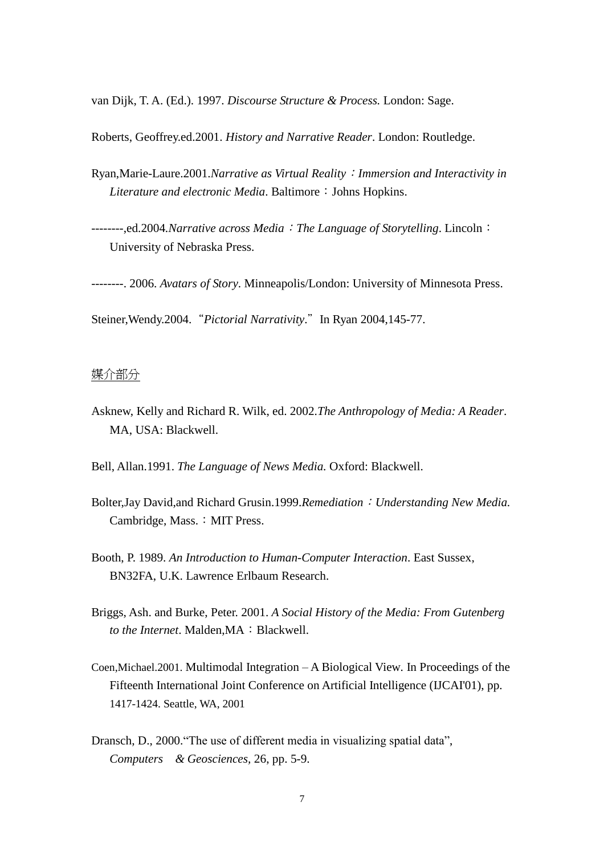van Dijk, T. A. (Ed.). 1997. *Discourse Structure & Process.* London: Sage.

Roberts, Geoffrey.ed.2001. *History and Narrative Reader*. London: Routledge.

Ryan,Marie-Laure.2001.*Narrative as Virtual Reality*:*Immersion and Interactivity in Literature and electronic Media*. Baltimore: Johns Hopkins.

--------,ed.2004*.Narrative across Media*:*The Language of Storytelling*. Lincoln: University of Nebraska Press.

--------. 2006. *Avatars of Story*. Minneapolis/London: University of Minnesota Press.

Steiner,Wendy.2004."*Pictorial Narrativity*."In Ryan 2004,145-77.

#### 媒介部分

Asknew, Kelly and Richard R. Wilk, ed. 2002.*The Anthropology of Media: A Reader*. MA, USA: Blackwell.

Bell, Allan.1991. *The Language of News Media.* Oxford: Blackwell.

- Bolter,Jay David,and Richard Grusin.1999.*Remediation*:*Understanding New Media.* Cambridge, Mass.: MIT Press.
- Booth, P. 1989. *An Introduction to Human-Computer Interaction*. East Sussex, BN32FA, U.K. Lawrence Erlbaum Research.
- Briggs, Ash. and Burke, Peter. 2001. *A Social History of the Media: From Gutenberg to the Internet*. Malden,MA:Blackwell.
- Coen,Michael.2001. Multimodal Integration –A Biological View*.* In Proceedings of the Fifteenth International Joint Conference on Artificial Intelligence (IJCAI'01), pp. 1417-1424. Seattle, WA, 2001
- Dransch, D., 2000. "The use of different media in visualizing spatial data", *Computers & Geosciences,* 26, pp. 5-9.